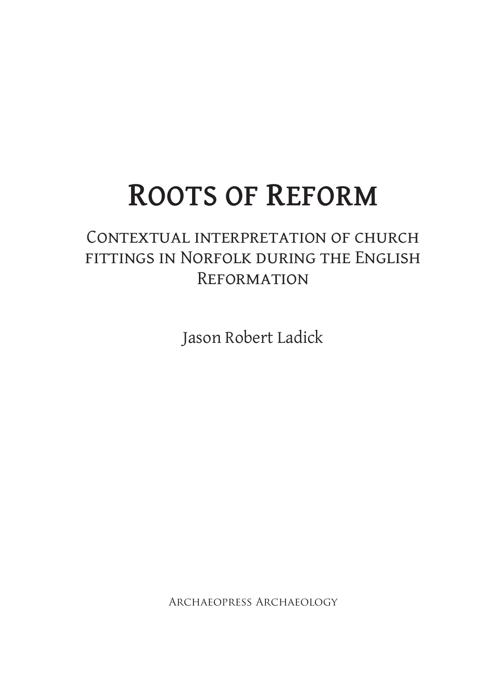# **Roots of Reform**

## CONTEXTUAL INTERPRETATION OF CHURCH fittings in Norfolk during the English **REFORMATION**

Jason Robert Ladick

Archaeopress Archaeology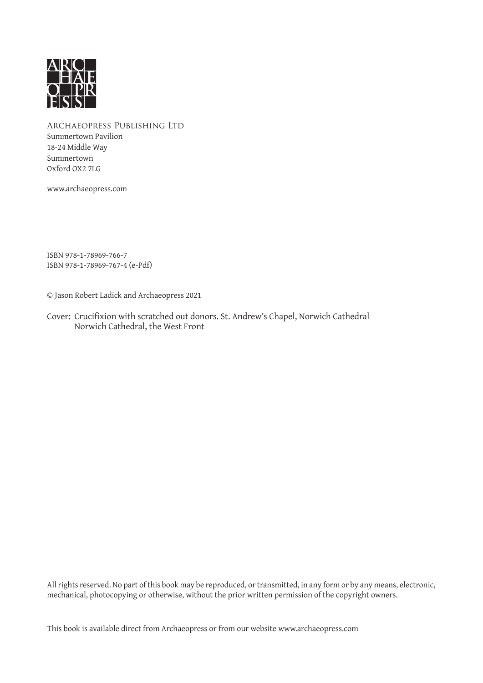

Archaeopress Publishing Ltd Summertown Pavilion 18-24 Middle Way Summertown Oxford OX2 7LG

www.archaeopress.com

ISBN 978-1-78969-766-7 ISBN 978-1-78969-767-4 (e-Pdf)

© Jason Robert Ladick and Archaeopress 2021

Cover: Crucifixion with scratched out donors. St. Andrew's Chapel, Norwich Cathedral Norwich Cathedral, the West Front

All rights reserved. No part of this book may be reproduced, or transmitted, in any form or by any means, electronic, mechanical, photocopying or otherwise, without the prior written permission of the copyright owners.

This book is available direct from Archaeopress or from our website www.archaeopress.com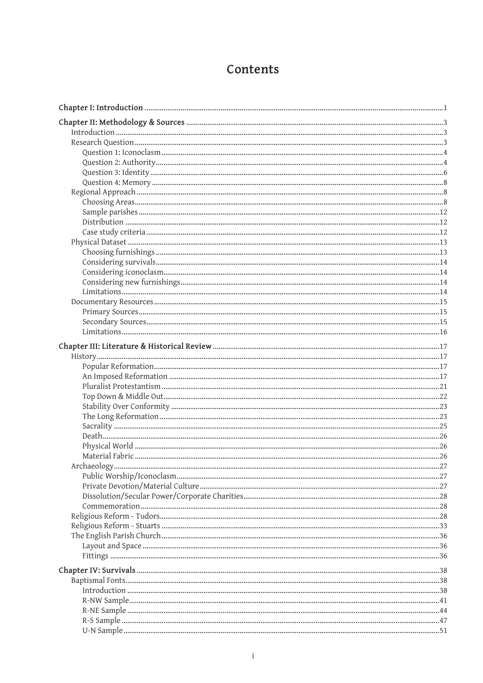### Contents

| .27 |
|-----|
|     |
|     |
|     |
|     |
|     |
|     |
|     |
|     |
|     |
|     |
|     |
|     |
|     |
|     |
|     |
|     |
|     |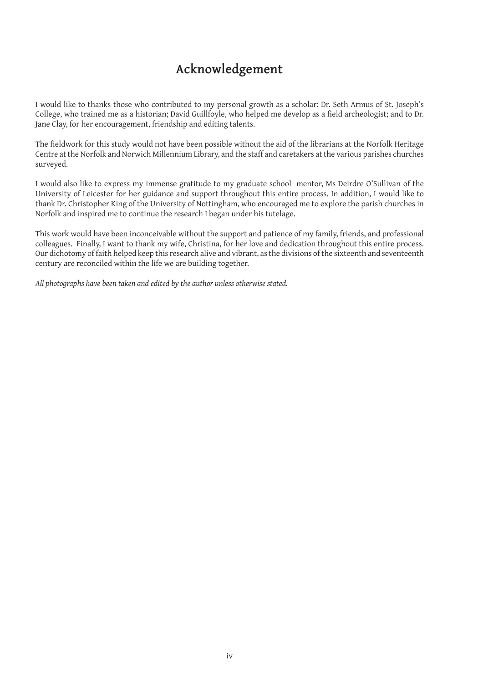#### **Acknowledgement**

I would like to thanks those who contributed to my personal growth as a scholar: Dr. Seth Armus of St. Joseph's College, who trained me as a historian; David Guillfoyle, who helped me develop as a field archeologist; and to Dr. Jane Clay, for her encouragement, friendship and editing talents.

The fieldwork for this study would not have been possible without the aid of the librarians at the Norfolk Heritage Centre at the Norfolk and Norwich Millennium Library, and the staff and caretakers at the various parishes churches surveyed.

I would also like to express my immense gratitude to my graduate school mentor, Ms Deirdre O'Sullivan of the University of Leicester for her guidance and support throughout this entire process. In addition, I would like to thank Dr. Christopher King of the University of Nottingham, who encouraged me to explore the parish churches in Norfolk and inspired me to continue the research I began under his tutelage.

This work would have been inconceivable without the support and patience of my family, friends, and professional colleagues. Finally, I want to thank my wife, Christina, for her love and dedication throughout this entire process. Our dichotomy of faith helped keep this research alive and vibrant, as the divisions of the sixteenth and seventeenth century are reconciled within the life we are building together.

*All photographs have been taken and edited by the author unless otherwise stated.*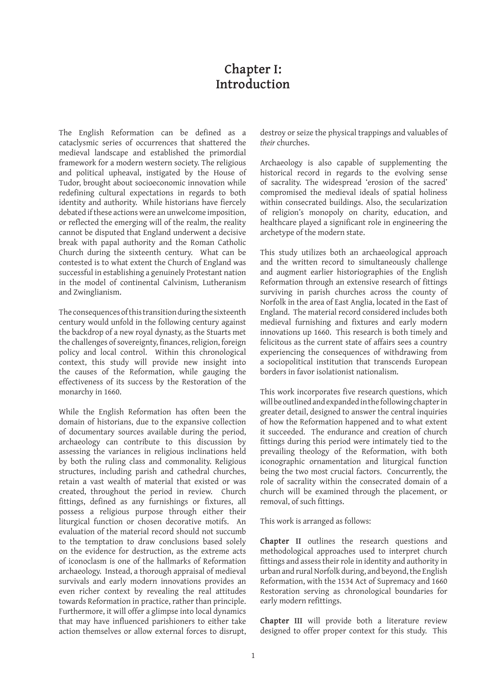#### **Chapter I: Introduction**

The English Reformation can be defined as a cataclysmic series of occurrences that shattered the medieval landscape and established the primordial framework for a modern western society. The religious and political upheaval, instigated by the House of Tudor, brought about socioeconomic innovation while redefining cultural expectations in regards to both identity and authority. While historians have fiercely debated if these actions were an unwelcome imposition, or reflected the emerging will of the realm, the reality cannot be disputed that England underwent a decisive break with papal authority and the Roman Catholic Church during the sixteenth century. What can be contested is to what extent the Church of England was successful in establishing a genuinely Protestant nation in the model of continental Calvinism, Lutheranism and Zwinglianism.

The consequences of this transition during the sixteenth century would unfold in the following century against the backdrop of a new royal dynasty, as the Stuarts met the challenges of sovereignty, finances, religion, foreign policy and local control. Within this chronological context, this study will provide new insight into the causes of the Reformation, while gauging the effectiveness of its success by the Restoration of the monarchy in 1660.

While the English Reformation has often been the domain of historians, due to the expansive collection of documentary sources available during the period, archaeology can contribute to this discussion by assessing the variances in religious inclinations held by both the ruling class and commonality. Religious structures, including parish and cathedral churches, retain a vast wealth of material that existed or was created, throughout the period in review. Church fittings, defined as any furnishings or fixtures, all possess a religious purpose through either their liturgical function or chosen decorative motifs. An evaluation of the material record should not succumb to the temptation to draw conclusions based solely on the evidence for destruction, as the extreme acts of iconoclasm is one of the hallmarks of Reformation archaeology. Instead, a thorough appraisal of medieval survivals and early modern innovations provides an even richer context by revealing the real attitudes towards Reformation in practice, rather than principle. Furthermore, it will offer a glimpse into local dynamics that may have influenced parishioners to either take action themselves or allow external forces to disrupt, destroy or seize the physical trappings and valuables of *their* churches.

Archaeology is also capable of supplementing the historical record in regards to the evolving sense of sacrality. The widespread 'erosion of the sacred' compromised the medieval ideals of spatial holiness within consecrated buildings. Also, the secularization of religion's monopoly on charity, education, and healthcare played a significant role in engineering the archetype of the modern state.

This study utilizes both an archaeological approach and the written record to simultaneously challenge and augment earlier historiographies of the English Reformation through an extensive research of fittings surviving in parish churches across the county of Norfolk in the area of East Anglia, located in the East of England. The material record considered includes both medieval furnishing and fixtures and early modern innovations up 1660. This research is both timely and felicitous as the current state of affairs sees a country experiencing the consequences of withdrawing from a sociopolitical institution that transcends European borders in favor isolationist nationalism.

This work incorporates five research questions, which will be outlined and expanded in the following chapter in greater detail, designed to answer the central inquiries of how the Reformation happened and to what extent it succeeded. The endurance and creation of church fittings during this period were intimately tied to the prevailing theology of the Reformation, with both iconographic ornamentation and liturgical function being the two most crucial factors. Concurrently, the role of sacrality within the consecrated domain of a church will be examined through the placement, or removal, of such fittings.

This work is arranged as follows:

**Chapter II** outlines the research questions and methodological approaches used to interpret church fittings and assess their role in identity and authority in urban and rural Norfolk during, and beyond, the English Reformation, with the 1534 Act of Supremacy and 1660 Restoration serving as chronological boundaries for early modern refittings.

**Chapter III** will provide both a literature review designed to offer proper context for this study. This